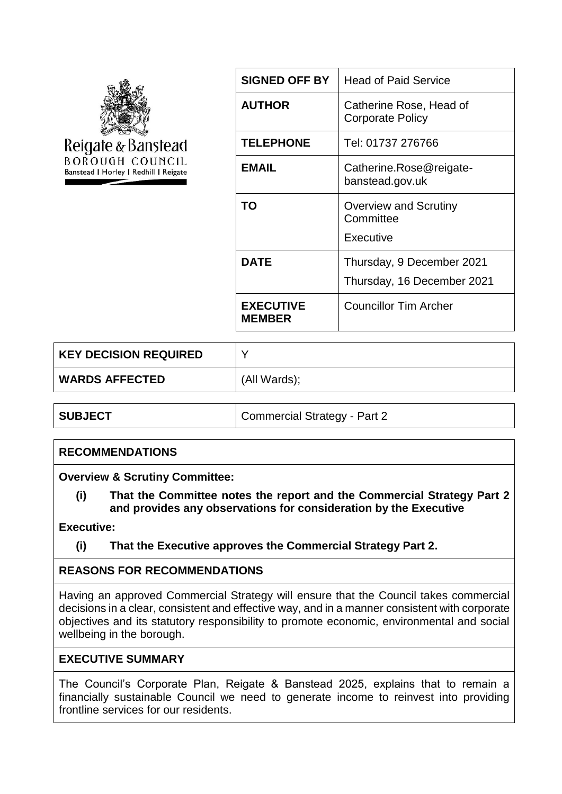

| <b>SIGNED OFF BY</b>              | <b>Head of Paid Service</b>                             |
|-----------------------------------|---------------------------------------------------------|
| <b>AUTHOR</b>                     | Catherine Rose, Head of<br><b>Corporate Policy</b>      |
| <b>TELEPHONE</b>                  | Tel: 01737 276766                                       |
| EMAIL                             | Catherine.Rose@reigate-<br>banstead.gov.uk              |
| TO                                | Overview and Scrutiny<br>Committee<br>Executive         |
| <b>DATE</b>                       | Thursday, 9 December 2021<br>Thursday, 16 December 2021 |
| <b>EXECUTIVE</b><br><b>MEMBER</b> | <b>Councillor Tim Archer</b>                            |

| <b>KEY DECISION REQUIRED</b> |              |
|------------------------------|--------------|
| <b>WARDS AFFECTED</b>        | (All Wards); |

**SUBJECT** Commercial Strategy - Part 2

## **RECOMMENDATIONS**

**Overview & Scrutiny Committee:**

**(i) That the Committee notes the report and the Commercial Strategy Part 2 and provides any observations for consideration by the Executive** 

**Executive:**

**(i) That the Executive approves the Commercial Strategy Part 2.**

## **REASONS FOR RECOMMENDATIONS**

Having an approved Commercial Strategy will ensure that the Council takes commercial decisions in a clear, consistent and effective way, and in a manner consistent with corporate objectives and its statutory responsibility to promote economic, environmental and social wellbeing in the borough.

## **EXECUTIVE SUMMARY**

The Council's Corporate Plan, Reigate & Banstead 2025, explains that to remain a financially sustainable Council we need to generate income to reinvest into providing frontline services for our residents.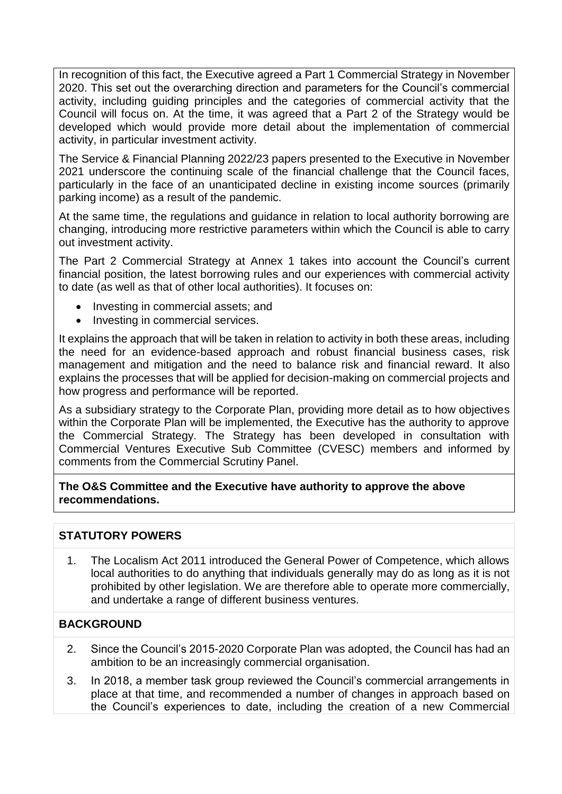In recognition of this fact, the Executive agreed a Part 1 Commercial Strategy in November 2020. This set out the overarching direction and parameters for the Council's commercial activity, including guiding principles and the categories of commercial activity that the Council will focus on. At the time, it was agreed that a Part 2 of the Strategy would be developed which would provide more detail about the implementation of commercial activity, in particular investment activity.

The Service & Financial Planning 2022/23 papers presented to the Executive in November 2021 underscore the continuing scale of the financial challenge that the Council faces, particularly in the face of an unanticipated decline in existing income sources (primarily parking income) as a result of the pandemic.

At the same time, the regulations and guidance in relation to local authority borrowing are changing, introducing more restrictive parameters within which the Council is able to carry out investment activity.

The Part 2 Commercial Strategy at Annex 1 takes into account the Council's current financial position, the latest borrowing rules and our experiences with commercial activity to date (as well as that of other local authorities). It focuses on:

- Investing in commercial assets; and
- Investing in commercial services.

It explains the approach that will be taken in relation to activity in both these areas, including the need for an evidence-based approach and robust financial business cases, risk management and mitigation and the need to balance risk and financial reward. It also explains the processes that will be applied for decision-making on commercial projects and how progress and performance will be reported.

As a subsidiary strategy to the Corporate Plan, providing more detail as to how objectives within the Corporate Plan will be implemented, the Executive has the authority to approve the Commercial Strategy. The Strategy has been developed in consultation with Commercial Ventures Executive Sub Committee (CVESC) members and informed by comments from the Commercial Scrutiny Panel.

**The O&S Committee and the Executive have authority to approve the above recommendations.**

## **STATUTORY POWERS**

1. The Localism Act 2011 introduced the General Power of Competence, which allows local authorities to do anything that individuals generally may do as long as it is not prohibited by other legislation. We are therefore able to operate more commercially, and undertake a range of different business ventures.

## **BACKGROUND**

- 2. Since the Council's 2015-2020 Corporate Plan was adopted, the Council has had an ambition to be an increasingly commercial organisation.
- 3. In 2018, a member task group reviewed the Council's commercial arrangements in place at that time, and recommended a number of changes in approach based on the Council's experiences to date, including the creation of a new Commercial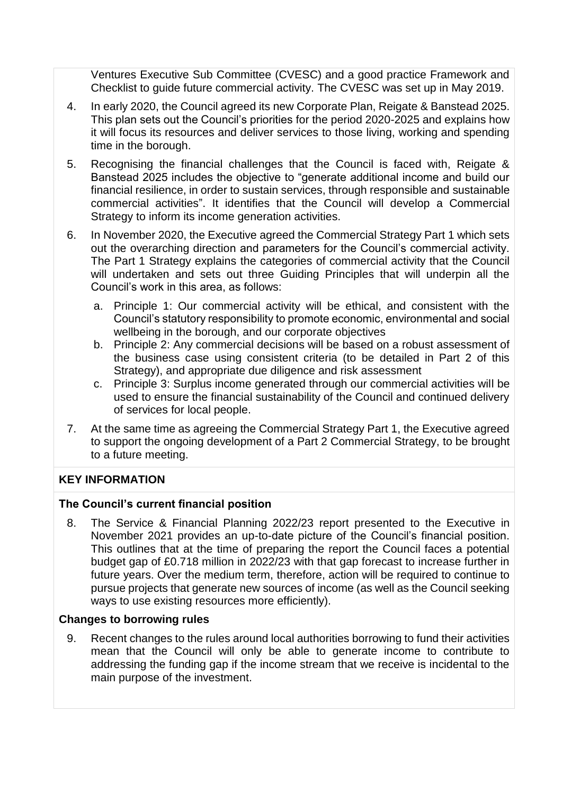Ventures Executive Sub Committee (CVESC) and a good practice Framework and Checklist to guide future commercial activity. The CVESC was set up in May 2019.

- 4. In early 2020, the Council agreed its new Corporate Plan, Reigate & Banstead 2025. This plan sets out the Council's priorities for the period 2020-2025 and explains how it will focus its resources and deliver services to those living, working and spending time in the borough.
- 5. Recognising the financial challenges that the Council is faced with, Reigate & Banstead 2025 includes the objective to "generate additional income and build our financial resilience, in order to sustain services, through responsible and sustainable commercial activities". It identifies that the Council will develop a Commercial Strategy to inform its income generation activities.
- 6. In November 2020, the Executive agreed the Commercial Strategy Part 1 which sets out the overarching direction and parameters for the Council's commercial activity. The Part 1 Strategy explains the categories of commercial activity that the Council will undertaken and sets out three Guiding Principles that will underpin all the Council's work in this area, as follows:
	- a. Principle 1: Our commercial activity will be ethical, and consistent with the Council's statutory responsibility to promote economic, environmental and social wellbeing in the borough, and our corporate objectives
	- b. Principle 2: Any commercial decisions will be based on a robust assessment of the business case using consistent criteria (to be detailed in Part 2 of this Strategy), and appropriate due diligence and risk assessment
	- c. Principle 3: Surplus income generated through our commercial activities will be used to ensure the financial sustainability of the Council and continued delivery of services for local people.
- 7. At the same time as agreeing the Commercial Strategy Part 1, the Executive agreed to support the ongoing development of a Part 2 Commercial Strategy, to be brought to a future meeting.

# **KEY INFORMATION**

## **The Council's current financial position**

8. The Service & Financial Planning 2022/23 report presented to the Executive in November 2021 provides an up-to-date picture of the Council's financial position. This outlines that at the time of preparing the report the Council faces a potential budget gap of £0.718 million in 2022/23 with that gap forecast to increase further in future years. Over the medium term, therefore, action will be required to continue to pursue projects that generate new sources of income (as well as the Council seeking ways to use existing resources more efficiently).

## **Changes to borrowing rules**

9. Recent changes to the rules around local authorities borrowing to fund their activities mean that the Council will only be able to generate income to contribute to addressing the funding gap if the income stream that we receive is incidental to the main purpose of the investment.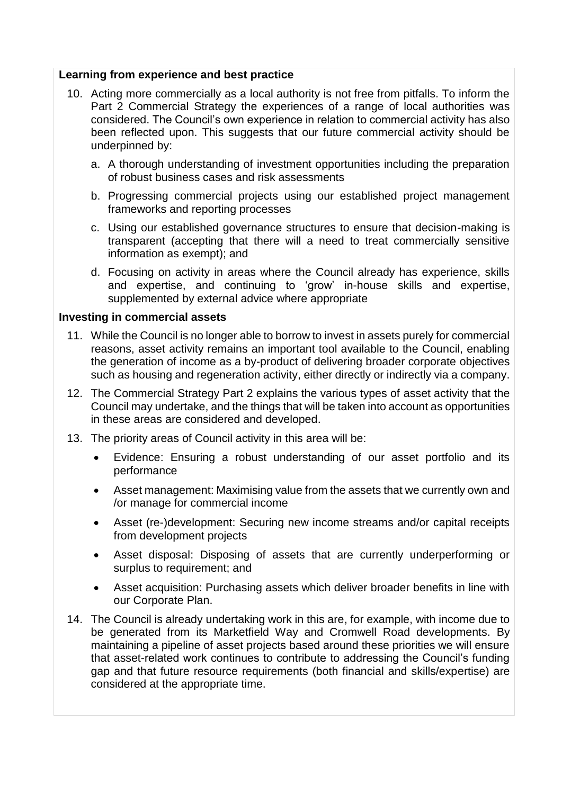#### **Learning from experience and best practice**

- 10. Acting more commercially as a local authority is not free from pitfalls. To inform the Part 2 Commercial Strategy the experiences of a range of local authorities was considered. The Council's own experience in relation to commercial activity has also been reflected upon. This suggests that our future commercial activity should be underpinned by:
	- a. A thorough understanding of investment opportunities including the preparation of robust business cases and risk assessments
	- b. Progressing commercial projects using our established project management frameworks and reporting processes
	- c. Using our established governance structures to ensure that decision-making is transparent (accepting that there will a need to treat commercially sensitive information as exempt); and
	- d. Focusing on activity in areas where the Council already has experience, skills and expertise, and continuing to 'grow' in-house skills and expertise, supplemented by external advice where appropriate

#### **Investing in commercial assets**

- 11. While the Council is no longer able to borrow to invest in assets purely for commercial reasons, asset activity remains an important tool available to the Council, enabling the generation of income as a by-product of delivering broader corporate objectives such as housing and regeneration activity, either directly or indirectly via a company.
- 12. The Commercial Strategy Part 2 explains the various types of asset activity that the Council may undertake, and the things that will be taken into account as opportunities in these areas are considered and developed.
- 13. The priority areas of Council activity in this area will be:
	- Evidence: Ensuring a robust understanding of our asset portfolio and its performance
	- Asset management: Maximising value from the assets that we currently own and /or manage for commercial income
	- Asset (re-)development: Securing new income streams and/or capital receipts from development projects
	- Asset disposal: Disposing of assets that are currently underperforming or surplus to requirement; and
	- Asset acquisition: Purchasing assets which deliver broader benefits in line with our Corporate Plan.
- 14. The Council is already undertaking work in this are, for example, with income due to be generated from its Marketfield Way and Cromwell Road developments. By maintaining a pipeline of asset projects based around these priorities we will ensure that asset-related work continues to contribute to addressing the Council's funding gap and that future resource requirements (both financial and skills/expertise) are considered at the appropriate time.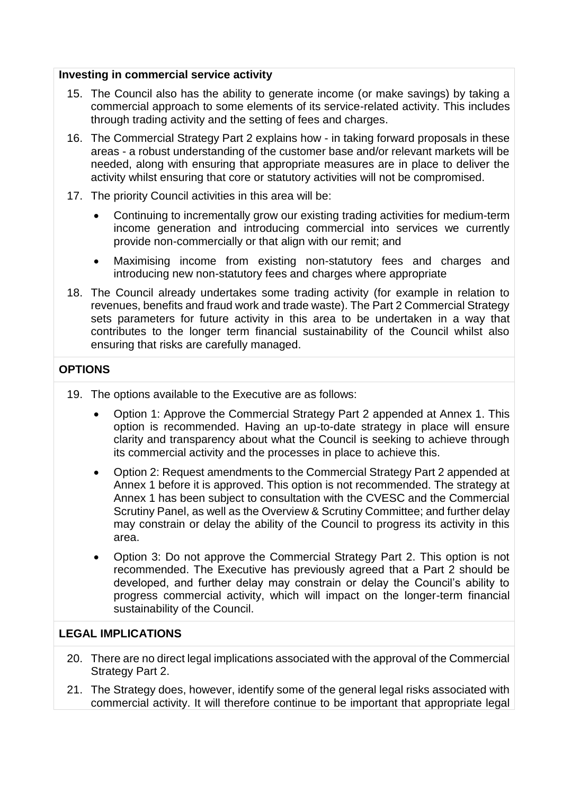#### **Investing in commercial service activity**

- 15. The Council also has the ability to generate income (or make savings) by taking a commercial approach to some elements of its service-related activity. This includes through trading activity and the setting of fees and charges.
- 16. The Commercial Strategy Part 2 explains how in taking forward proposals in these areas - a robust understanding of the customer base and/or relevant markets will be needed, along with ensuring that appropriate measures are in place to deliver the activity whilst ensuring that core or statutory activities will not be compromised.
- 17. The priority Council activities in this area will be:
	- Continuing to incrementally grow our existing trading activities for medium-term income generation and introducing commercial into services we currently provide non-commercially or that align with our remit; and
	- Maximising income from existing non-statutory fees and charges and introducing new non-statutory fees and charges where appropriate
- 18. The Council already undertakes some trading activity (for example in relation to revenues, benefits and fraud work and trade waste). The Part 2 Commercial Strategy sets parameters for future activity in this area to be undertaken in a way that contributes to the longer term financial sustainability of the Council whilst also ensuring that risks are carefully managed.

### **OPTIONS**

- 19. The options available to the Executive are as follows:
	- Option 1: Approve the Commercial Strategy Part 2 appended at Annex 1. This option is recommended. Having an up-to-date strategy in place will ensure clarity and transparency about what the Council is seeking to achieve through its commercial activity and the processes in place to achieve this.
	- Option 2: Request amendments to the Commercial Strategy Part 2 appended at Annex 1 before it is approved. This option is not recommended. The strategy at Annex 1 has been subject to consultation with the CVESC and the Commercial Scrutiny Panel, as well as the Overview & Scrutiny Committee; and further delay may constrain or delay the ability of the Council to progress its activity in this area.
	- Option 3: Do not approve the Commercial Strategy Part 2. This option is not recommended. The Executive has previously agreed that a Part 2 should be developed, and further delay may constrain or delay the Council's ability to progress commercial activity, which will impact on the longer-term financial sustainability of the Council.

### **LEGAL IMPLICATIONS**

- 20. There are no direct legal implications associated with the approval of the Commercial Strategy Part 2.
- 21. The Strategy does, however, identify some of the general legal risks associated with commercial activity. It will therefore continue to be important that appropriate legal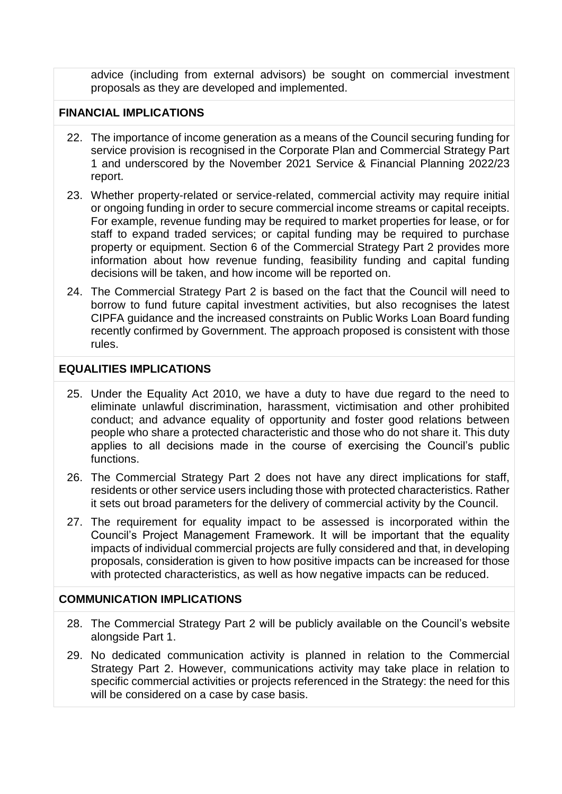advice (including from external advisors) be sought on commercial investment proposals as they are developed and implemented.

### **FINANCIAL IMPLICATIONS**

- 22. The importance of income generation as a means of the Council securing funding for service provision is recognised in the Corporate Plan and Commercial Strategy Part 1 and underscored by the November 2021 Service & Financial Planning 2022/23 report.
- 23. Whether property-related or service-related, commercial activity may require initial or ongoing funding in order to secure commercial income streams or capital receipts. For example, revenue funding may be required to market properties for lease, or for staff to expand traded services; or capital funding may be required to purchase property or equipment. Section 6 of the Commercial Strategy Part 2 provides more information about how revenue funding, feasibility funding and capital funding decisions will be taken, and how income will be reported on.
- 24. The Commercial Strategy Part 2 is based on the fact that the Council will need to borrow to fund future capital investment activities, but also recognises the latest CIPFA guidance and the increased constraints on Public Works Loan Board funding recently confirmed by Government. The approach proposed is consistent with those rules.

#### **EQUALITIES IMPLICATIONS**

- 25. Under the Equality Act 2010, we have a duty to have due regard to the need to eliminate unlawful discrimination, harassment, victimisation and other prohibited conduct; and advance equality of opportunity and foster good relations between people who share a protected characteristic and those who do not share it. This duty applies to all decisions made in the course of exercising the Council's public functions.
- 26. The Commercial Strategy Part 2 does not have any direct implications for staff, residents or other service users including those with protected characteristics. Rather it sets out broad parameters for the delivery of commercial activity by the Council.
- 27. The requirement for equality impact to be assessed is incorporated within the Council's Project Management Framework. It will be important that the equality impacts of individual commercial projects are fully considered and that, in developing proposals, consideration is given to how positive impacts can be increased for those with protected characteristics, as well as how negative impacts can be reduced.

### **COMMUNICATION IMPLICATIONS**

- 28. The Commercial Strategy Part 2 will be publicly available on the Council's website alongside Part 1.
- 29. No dedicated communication activity is planned in relation to the Commercial Strategy Part 2. However, communications activity may take place in relation to specific commercial activities or projects referenced in the Strategy: the need for this will be considered on a case by case basis.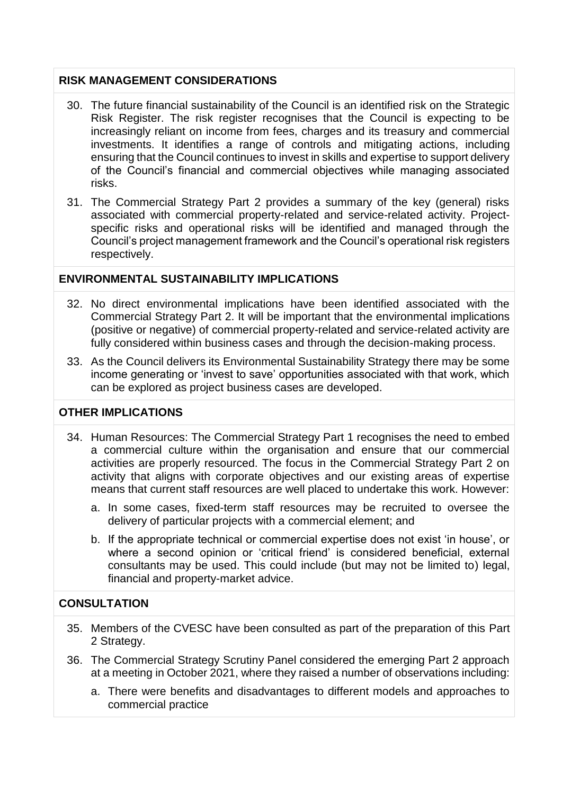### **RISK MANAGEMENT CONSIDERATIONS**

- 30. The future financial sustainability of the Council is an identified risk on the Strategic Risk Register. The risk register recognises that the Council is expecting to be increasingly reliant on income from fees, charges and its treasury and commercial investments. It identifies a range of controls and mitigating actions, including ensuring that the Council continues to invest in skills and expertise to support delivery of the Council's financial and commercial objectives while managing associated risks.
- 31. The Commercial Strategy Part 2 provides a summary of the key (general) risks associated with commercial property-related and service-related activity. Projectspecific risks and operational risks will be identified and managed through the Council's project management framework and the Council's operational risk registers respectively.

## **ENVIRONMENTAL SUSTAINABILITY IMPLICATIONS**

- 32. No direct environmental implications have been identified associated with the Commercial Strategy Part 2. It will be important that the environmental implications (positive or negative) of commercial property-related and service-related activity are fully considered within business cases and through the decision-making process.
- 33. As the Council delivers its Environmental Sustainability Strategy there may be some income generating or 'invest to save' opportunities associated with that work, which can be explored as project business cases are developed.

## **OTHER IMPLICATIONS**

- 34. Human Resources: The Commercial Strategy Part 1 recognises the need to embed a commercial culture within the organisation and ensure that our commercial activities are properly resourced. The focus in the Commercial Strategy Part 2 on activity that aligns with corporate objectives and our existing areas of expertise means that current staff resources are well placed to undertake this work. However:
	- a. In some cases, fixed-term staff resources may be recruited to oversee the delivery of particular projects with a commercial element; and
	- b. If the appropriate technical or commercial expertise does not exist 'in house', or where a second opinion or 'critical friend' is considered beneficial, external consultants may be used. This could include (but may not be limited to) legal, financial and property-market advice.

### **CONSULTATION**

- 35. Members of the CVESC have been consulted as part of the preparation of this Part 2 Strategy.
- 36. The Commercial Strategy Scrutiny Panel considered the emerging Part 2 approach at a meeting in October 2021, where they raised a number of observations including:
	- a. There were benefits and disadvantages to different models and approaches to commercial practice